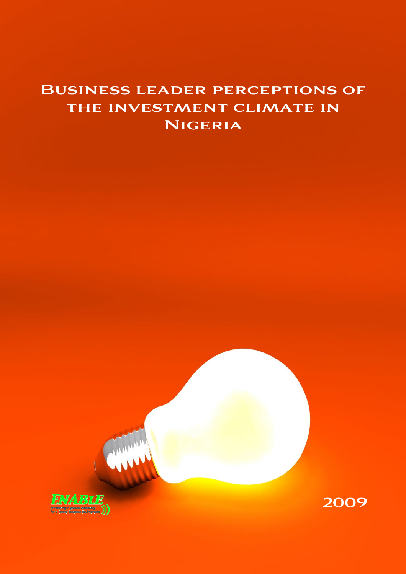# Business leader perceptions of the investment climate in **NIGERIA**

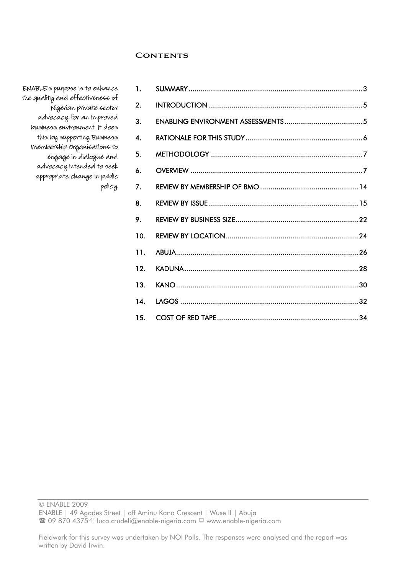# **Contents**

| 1.                 |  |
|--------------------|--|
| 2.                 |  |
| 3.                 |  |
| $\boldsymbol{4}$ . |  |
| 5.                 |  |
| 6.                 |  |
| 7.                 |  |
| 8.                 |  |
| 9.                 |  |
| 10.                |  |
| 11.                |  |
| 12.                |  |
| 13.                |  |
| 14.                |  |
| 15.                |  |

ENABLE's purpose is to enhance the quality and effectiveness of Nigerian private sector advocacy for an improved business environment. It does this by supporting Business Membership Organisations to engage in dialogue and advocacy intended to seek appropriate change in public policy.

© ENABLE 2009

ENABLE | 49 Agades Street | off Aminu Kano Crescent | Wuse II | Abuja

<sup>■</sup> 09 870 4375 the uca.crudeli@enable-nigeria.com ■ www.enable-nigeria.com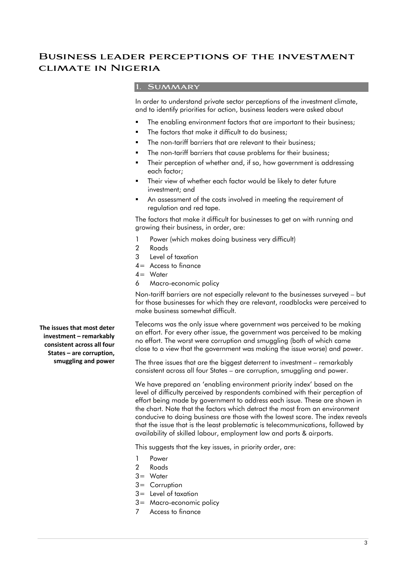# **Business leader perceptions of the investment climate in Nigeria**

# **1. Summary**

In order to understand private sector perceptions of the investment climate, and to identify priorities for action, business leaders were asked about

- The enabling environment factors that are important to their business;
- The factors that make it difficult to do business;
- The non-tariff barriers that are relevant to their business;
- The non-tariff barriers that cause problems for their business;
- Their perception of whether and, if so, how government is addressing each factor;
- Their view of whether each factor would be likely to deter future investment; and
- An assessment of the costs involved in meeting the requirement of regulation and red tape.

The factors that make it difficult for businesses to get on with running and growing their business, in order, are:

- 1 Power (which makes doing business very difficult)
- 2 Roads
- 3 Level of taxation
- 4= Access to finance
- $4 =$  Water
- 6 Macro-economic policy

Non-tariff barriers are not especially relevant to the businesses surveyed – but for those businesses for which they are relevant, roadblocks were perceived to make business somewhat difficult.

Telecoms was the only issue where government was perceived to be making an effort. For every other issue, the government was perceived to be making no effort. The worst were corruption and smuggling (both of which came close to a view that the government was making the issue worse) and power.

The three issues that are the biggest deterrent to investment – remarkably consistent across all four States – are corruption, smuggling and power.

We have prepared an 'enabling environment priority index' based on the level of difficulty perceived by respondents combined with their perception of effort being made by government to address each issue. These are shown in the chart. Note that the factors which detract the most from an environment conducive to doing business are those with the lowest score. The index reveals that the issue that is the least problematic is telecommunications, followed by availability of skilled labour, employment law and ports & airports.

This suggests that the key issues, in priority order, are:

- 1 Power
- 2 Roads
- 3= Water
- 3= Corruption
- 3= Level of taxation
- 3= Macro-economic policy
- 7 Access to finance

**The issues that most deter investment – remarkably consistent across all four States – are corruption, smuggling and power**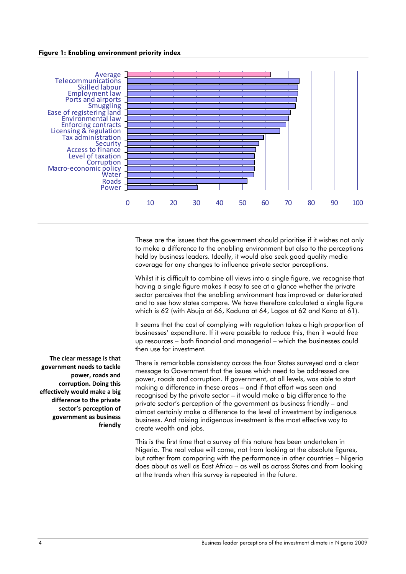#### **Figure 1: Enabling environment priority index**



These are the issues that the government should prioritise if it wishes not only to make a difference to the enabling environment but also to the perceptions held by business leaders. Ideally, it would also seek good quality media coverage for any changes to influence private sector perceptions.

Whilst it is difficult to combine all views into a single figure, we recognise that having a single figure makes it easy to see at a glance whether the private sector perceives that the enabling environment has improved or deteriorated and to see how states compare. We have therefore calculated a single figure which is 62 (with Abuja at 66, Kaduna at 64, Lagos at 62 and Kano at 61).

It seems that the cost of complying with regulation takes a high proportion of businesses' expenditure. If it were possible to reduce this, then it would free up resources – both financial and managerial – which the businesses could then use for investment.

There is remarkable consistency across the four States surveyed and a clear message to Government that the issues which need to be addressed are power, roads and corruption. If government, at all levels, was able to start making a difference in these areas – and if that effort was seen and recognised by the private sector – it would make a big difference to the private sector's perception of the government as business friendly – and almost certainly make a difference to the level of investment by indigenous business. And raising indigenous investment is the most effective way to create wealth and jobs.

This is the first time that a survey of this nature has been undertaken in Nigeria. The real value will come, not from looking at the absolute figures, but rather from comparing with the performance in other countries – Nigeria does about as well as East Africa – as well as across States and from looking at the trends when this survey is repeated in the future.

**The clear message is that government needs to tackle power, roads and corruption. Doing this effectively would make a big difference to the private sector's perception of government as business friendly**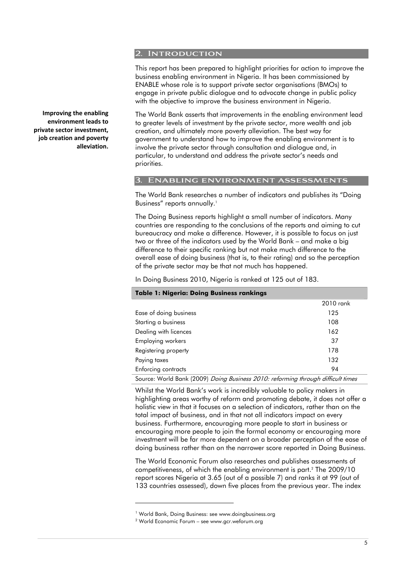#### **2. Introduction**

This report has been prepared to highlight priorities for action to improve the business enabling environment in Nigeria. It has been commissioned by ENABLE whose role is to support private sector organisations (BMOs) to engage in private public dialogue and to advocate change in public policy with the objective to improve the business environment in Nigeria.

The World Bank asserts that improvements in the enabling environment lead to greater levels of investment by the private sector, more wealth and job creation, and ultimately more poverty alleviation. The best way for government to understand how to improve the enabling environment is to involve the private sector through consultation and dialogue and, in particular, to understand and address the private sector's needs and priorities.

#### **3. Enabling environment assessments**

The World Bank researches a number of indicators and publishes its "Doing Business" reports annually.<sup>1</sup>

The Doing Business reports highlight a small number of indicators. Many countries are responding to the conclusions of the reports and aiming to cut bureaucracy and make a difference. However, it is possible to focus on just two or three of the indicators used by the World Bank – and make a big difference to their specific ranking but not make much difference to the overall ease of doing business (that is, to their rating) and so the perception of the private sector may be that not much has happened.

In Doing Business 2010, Nigeria is ranked at 125 out of 183.

| <b>Table 1: Nigeria: Doing Business rankings</b>                                 |           |  |  |  |
|----------------------------------------------------------------------------------|-----------|--|--|--|
|                                                                                  | 2010 rank |  |  |  |
| Ease of doing business                                                           | 125       |  |  |  |
| Starting a business                                                              | 108       |  |  |  |
| Dealing with licences                                                            | 162       |  |  |  |
| <b>Employing workers</b>                                                         | 37        |  |  |  |
| Registering property                                                             | 178       |  |  |  |
| Paying taxes                                                                     | 132       |  |  |  |
| Enforcing contracts                                                              | 94        |  |  |  |
| Source: Warld Bank (2000) Daing Business 2010, reference through difficult times |           |  |  |  |

Source: World Bank (2009) Doing Business 2010: reforming through difficult times

Whilst the World Bank's work is incredibly valuable to policy makers in highlighting areas worthy of reform and promoting debate, it does not offer a holistic view in that it focuses on a selection of indicators, rather than on the total impact of business, and in that not all indicators impact on every business. Furthermore, encouraging more people to start in business or encouraging more people to join the formal economy or encouraging more investment will be far more dependent on a broader perception of the ease of doing business rather than on the narrower score reported in Doing Business.

The World Economic Forum also researches and publishes assessments of competitiveness, of which the enabling environment is part.2 The 2009/10 report scores Nigeria at 3.65 (out of a possible 7) and ranks it at 99 (out of 133 countries assessed), down five places from the previous year. The index

-

**Improving the enabling environment leads to private sector investment, job creation and poverty alleviation.**

<sup>&</sup>lt;sup>1</sup> World Bank, Doing Business: see www.doingbusiness.org<br><sup>2</sup> World Economic Forum – see www.ger.woforum.org

World Economic Forum – see www.gcr.weforum.org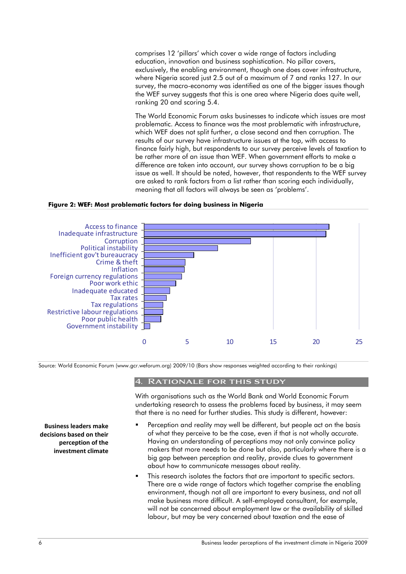comprises 12 'pillars' which cover a wide range of factors including education, innovation and business sophistication. No pillar covers, exclusively, the enabling environment, though one does cover infrastructure, where Nigeria scored just 2.5 out of a maximum of 7 and ranks 127. In our survey, the macro-economy was identified as one of the bigger issues though the WEF survey suggests that this is one area where Nigeria does quite well, ranking 20 and scoring 5.4.

The World Economic Forum asks businesses to indicate which issues are most problematic. Access to finance was the most problematic with infrastructure, which WEF does not split further, a close second and then corruption. The results of our survey have infrastructure issues at the top, with access to finance fairly high, but respondents to our survey perceive levels of taxation to be rather more of an issue than WEF. When government efforts to make a difference are taken into account, our survey shows corruption to be a big issue as well. It should be noted, however, that respondents to the WEF survey are asked to rank factors from a list rather than scoring each individually, meaning that all factors will always be seen as 'problems'.

#### **Figure 2: WEF: Most problematic factors for doing business in Nigeria**



Source: World Economic Forum (www.gcr.weforum.org) 2009/10 (Bars show responses weighted according to their rankings)

# **4. Rationale for this study**

With organisations such as the World Bank and World Economic Forum undertaking research to assess the problems faced by business, it may seem that there is no need for further studies. This study is different, however:

- Perception and reality may well be different, but people act on the basis of what they perceive to be the case, even if that is not wholly accurate. Having an understanding of perceptions may not only convince policy makers that more needs to be done but also, particularly where there is a big gap between perception and reality, provide clues to government about how to communicate messages about reality.
- This research isolates the factors that are important to specific sectors. There are a wide range of factors which together comprise the enabling environment, though not all are important to every business, and not all make business more difficult. A self-employed consultant, for example, will not be concerned about employment law or the availability of skilled labour, but may be very concerned about taxation and the ease of

**Business leaders make decisions based on their perception of the investment climate**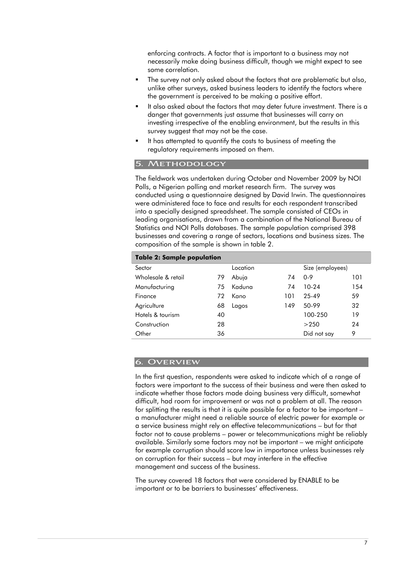enforcing contracts. A factor that is important to a business may not necessarily make doing business difficult, though we might expect to see some correlation.

- The survey not only asked about the factors that are problematic but also, unlike other surveys, asked business leaders to identify the factors where the government is perceived to be making a positive effort.
- It also asked about the factors that may deter future investment. There is a danger that governments just assume that businesses will carry on investing irrespective of the enabling environment, but the results in this survey suggest that may not be the case.
- It has attempted to quantify the costs to business of meeting the regulatory requirements imposed on them.

# **5. Methodology**

The fieldwork was undertaken during October and November 2009 by NOI Polls, a Nigerian polling and market research firm. The survey was conducted using a questionnaire designed by David Irwin. The questionnaires were administered face to face and results for each respondent transcribed into a specially designed spreadsheet. The sample consisted of CEOs in leading organisations, drawn from a combination of the National Bureau of Statistics and NOI Polls databases. The sample population comprised 398 businesses and covering a range of sectors, locations and business sizes. The composition of the sample is shown in table 2.

# **Table 2: Sample population**

| Sector             |    | Location |     | Size (employees) |     |  |  |
|--------------------|----|----------|-----|------------------|-----|--|--|
| Wholesale & retail | 79 | Abuja    | 74  | $0 - 9$          | 101 |  |  |
| Manufacturing      | 75 | Kaduna   | 74  | $10-24$          | 154 |  |  |
| Finance            | 72 | Kano     | 101 | 25-49            | 59  |  |  |
| Agriculture        | 68 | Lagos    | 149 | 50-99            | 32  |  |  |
| Hotels & tourism   | 40 |          |     | 100-250          | 19  |  |  |
| Construction       | 28 |          |     | >250             | 24  |  |  |
| Other              | 36 |          |     | Did not say      | 9   |  |  |
|                    |    |          |     |                  |     |  |  |

# **6. Overview**

In the first question, respondents were asked to indicate which of a range of factors were important to the success of their business and were then asked to indicate whether those factors made doing business very difficult, somewhat difficult, had room for improvement or was not a problem at all. The reason for splitting the results is that it is quite possible for a factor to be important – a manufacturer might need a reliable source of electric power for example or a service business might rely on effective telecommunications – but for that factor not to cause problems – power or telecommunications might be reliably available. Similarly some factors may not be important – we might anticipate for example corruption should score low in importance unless businesses rely on corruption for their success – but may interfere in the effective management and success of the business.

The survey covered 18 factors that were considered by ENABLE to be important or to be barriers to businesses' effectiveness.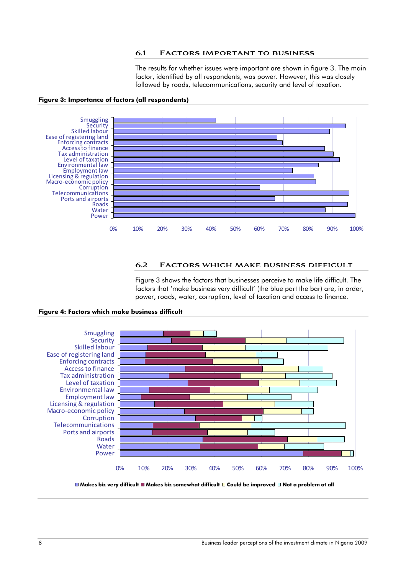#### **6.1 Factors important to business**

The results for whether issues were important are shown in figure 3. The main factor, identified by all respondents, was power. However, this was closely followed by roads, telecommunications, security and level of taxation.



#### **Figure 3: Importance of factors (all respondents)**

# **6.2 Factors which make business difficult**

Figure 3 shows the factors that businesses perceive to make life difficult. The factors that 'make business very difficult' (the blue part the bar) are, in order, power, roads, water, corruption, level of taxation and access to finance.



#### **Figure 4: Factors which make business difficult**

**Makes biz very difficult Makes biz somewhat difficult Could be improved Not a problem at all**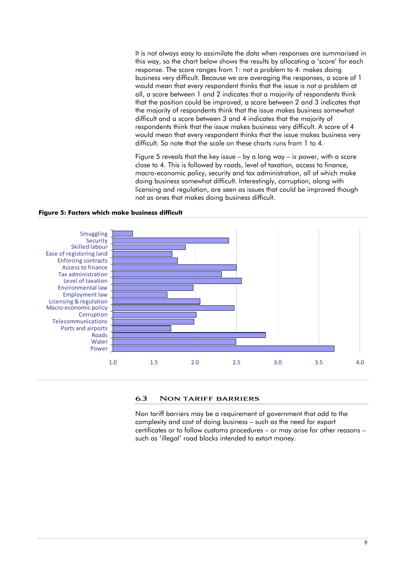It is not always easy to assimilate the data when responses are summarised in this way, so the chart below shows the results by allocating a 'score' for each response. The score ranges from 1: not a problem to 4: makes doing business very difficult. Because we are averaging the responses, a score of 1 would mean that every respondent thinks that the issue is not a problem at all, a score between 1 and 2 indicates that a majority of respondents think that the position could be improved, a score between 2 and 3 indicates that the majority of respondents think that the issue makes business somewhat difficult and a score between 3 and 4 indicates that the majority of respondents think that the issue makes business very difficult. A score of 4 would mean that every respondent thinks that the issue makes business very difficult. So note that the scale on these charts runs from 1 to 4.

Figure 5 reveals that the key issue – by a long way – is power, with a score close to 4. This is followed by roads, level of taxation, access to finance, macro-economic policy, security and tax administration, all of which make doing business somewhat difficult. Interestingly, corruption, along with licensing and regulation, are seen as issues that could be improved though not as ones that makes doing business difficult.



#### **Figure 5: Factors which make business difficult**

#### **6.3 Non tariff barriers**

Non tariff barriers may be a requirement of government that add to the complexity and cost of doing business – such as the need for export certificates or to follow customs procedures – or may arise for other reasons – such as 'illegal' road blocks intended to extort money.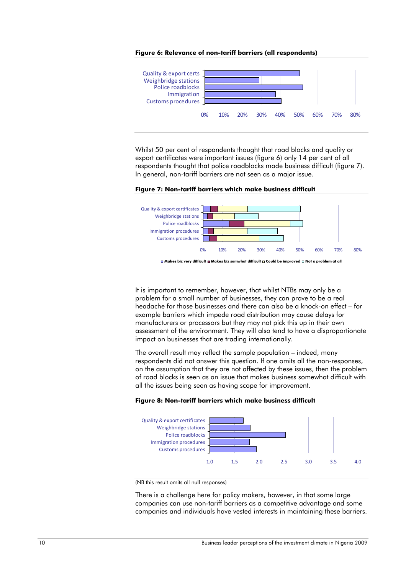



Whilst 50 per cent of respondents thought that road blocks and quality or export certificates were important issues (figure 6) only 14 per cent of all respondents thought that police roadblocks made business difficult (figure 7). In general, non-tariff barriers are not seen as a major issue.



**Figure 7: Non-tariff barriers which make business difficult** 

It is important to remember, however, that whilst NTBs may only be a problem for a small number of businesses, they can prove to be a real headache for those businesses and there can also be a knock-on effect – for example barriers which impede road distribution may cause delays for manufacturers or processors but they may not pick this up in their own assessment of the environment. They will also tend to have a disproportionate impact on businesses that are trading internationally.

The overall result may reflect the sample population – indeed, many respondents did not answer this question. If one omits all the non-responses, on the assumption that they are not affected by these issues, then the problem of road blocks is seen as an issue that makes business somewhat difficult with all the issues being seen as having scope for improvement.



**Figure 8: Non-tariff barriers which make business difficult** 

(NB this result omits all null responses)

There is a challenge here for policy makers, however, in that some large companies can use non-tariff barriers as a competitive advantage and some companies and individuals have vested interests in maintaining these barriers.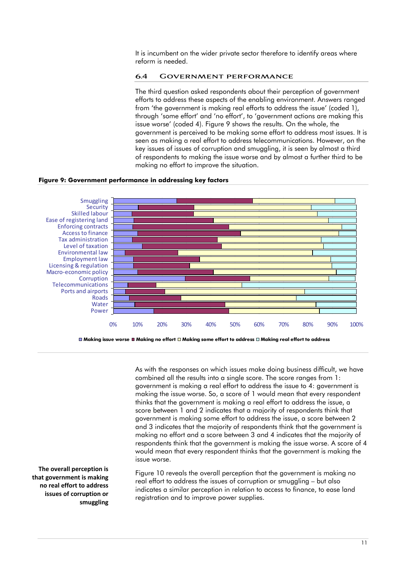It is incumbent on the wider private sector therefore to identify areas where reform is needed.

#### **6.4 Government performance**

The third question asked respondents about their perception of government efforts to address these aspects of the enabling environment. Answers ranged from 'the government is making real efforts to address the issue' (coded 1), through 'some effort' and 'no effort', to 'government actions are making this issue worse' (coded 4). Figure 9 shows the results. On the whole, the government is perceived to be making some effort to address most issues. It is seen as making a real effort to address telecommunications. However, on the key issues of issues of corruption and smuggling, it is seen by almost a third of respondents to making the issue worse and by almost a further third to be making no effort to improve the situation.

#### **Figure 9: Government performance in addressing key factors**



As with the responses on which issues make doing business difficult, we have combined all the results into a single score. The score ranges from 1: government is making a real effort to address the issue to 4: government is making the issue worse. So, a score of 1 would mean that every respondent thinks that the government is making a real effort to address the issue, a score between 1 and 2 indicates that a majority of respondents think that government is making some effort to address the issue, a score between 2 and 3 indicates that the majority of respondents think that the government is making no effort and a score between 3 and 4 indicates that the majority of respondents think that the government is making the issue worse. A score of 4 would mean that every respondent thinks that the government is making the issue worse.

Figure 10 reveals the overall perception that the government is making no real effort to address the issues of corruption or smuggling – but also indicates a similar perception in relation to access to finance, to ease land registration and to improve power supplies.

**The overall perception is that government is making no real effort to address issues of corruption or smuggling**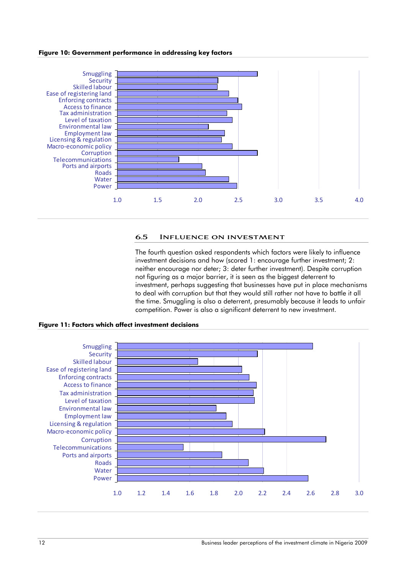#### **Figure 10: Government performance in addressing key factors**



#### **6.5 Influence on investment**

The fourth question asked respondents which factors were likely to influence investment decisions and how (scored 1: encourage further investment; 2: neither encourage nor deter; 3: deter further investment). Despite corruption not figuring as a major barrier, it is seen as the biggest deterrent to investment, perhaps suggesting that businesses have put in place mechanisms to deal with corruption but that they would still rather not have to battle it all the time. Smuggling is also a deterrent, presumably because it leads to unfair competition. Power is also a significant deterrent to new investment.



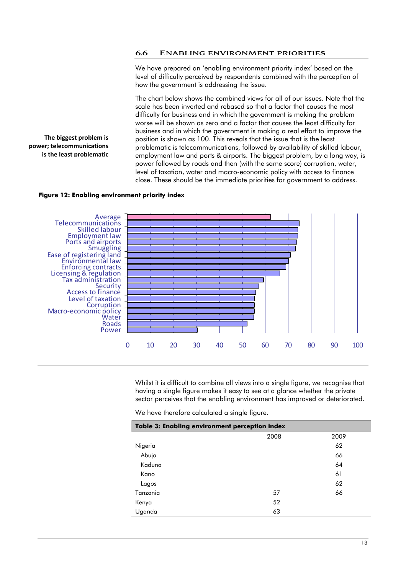#### **6.6 Enabling environment priorities**

We have prepared an 'enabling environment priority index' based on the level of difficulty perceived by respondents combined with the perception of how the government is addressing the issue.

The chart below shows the combined views for all of our issues. Note that the scale has been inverted and rebased so that a factor that causes the most difficulty for business and in which the government is making the problem worse will be shown as zero and a factor that causes the least difficulty for business and in which the government is making a real effort to improve the position is shown as 100. This reveals that the issue that is the least problematic is telecommunications, followed by availability of skilled labour, employment law and ports & airports. The biggest problem, by a long way, is power followed by roads and then (with the same score) corruption, water, level of taxation, water and macro-economic policy with access to finance close. These should be the immediate priorities for government to address.

#### **Figure 12: Enabling environment priority index**

**The biggest problem is power; telecommunications is the least problematic**



Whilst it is difficult to combine all views into a single figure, we recognise that having a single figure makes it easy to see at a glance whether the private sector perceives that the enabling environment has improved or deteriorated.

We have therefore calculated a single figure.

| Table 3: Enabling environment perception index |      |      |  |
|------------------------------------------------|------|------|--|
|                                                | 2008 | 2009 |  |
| Nigeria                                        |      | 62   |  |
| Abuja                                          |      | 66   |  |
| Kaduna                                         |      | 64   |  |
| Kano                                           |      | 61   |  |
| Lagos                                          |      | 62   |  |
| Tanzania                                       | 57   | 66   |  |
| Kenya                                          | 52   |      |  |
| Uganda                                         | 63   |      |  |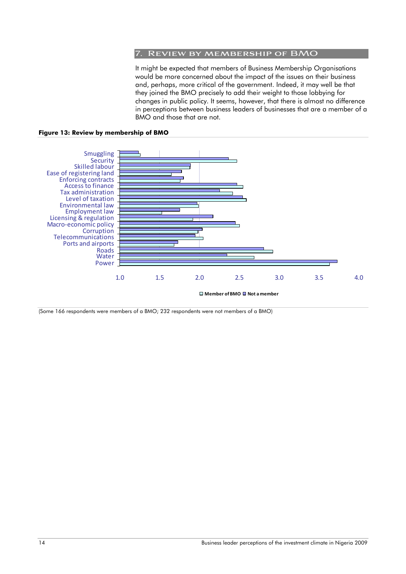#### **7. Review by membership of BMO**

It might be expected that members of Business Membership Organisations would be more concerned about the impact of the issues on their business and, perhaps, more critical of the government. Indeed, it may well be that they joined the BMO precisely to add their weight to those lobbying for changes in public policy. It seems, however, that there is almost no difference in perceptions between business leaders of businesses that are a member of a BMO and those that are not.

**Figure 13: Review by membership of BMO** 



(Some 166 respondents were members of a BMO; 232 respondents were not members of a BMO)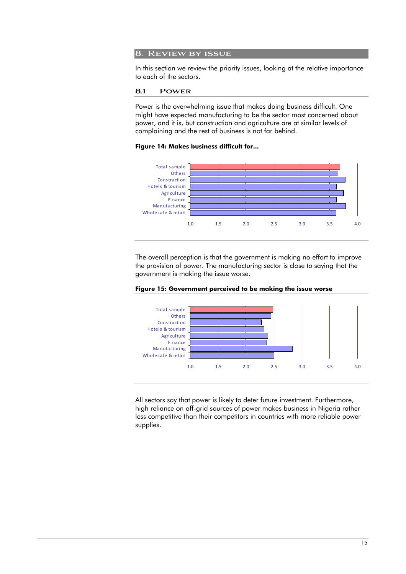# **8. Review by issue**

In this section we review the priority issues, looking at the relative importance to each of the sectors.

#### **8.1 Power**

Power is the overwhelming issue that makes doing business difficult. One might have expected manufacturing to be the sector most concerned about power, and it is, but construction and agriculture are at similar levels of complaining and the rest of business is not far behind.

# **Figure 14: Makes business difficult for...**



The overall perception is that the government is making no effort to improve the provision of power. The manufacturing sector is close to saying that the government is making the issue worse.



**Figure 15: Government perceived to be making the issue worse** 

All sectors say that power is likely to deter future investment. Furthermore, high reliance on off-grid sources of power makes business in Nigeria rather less competitive than their competitors in countries with more reliable power supplies.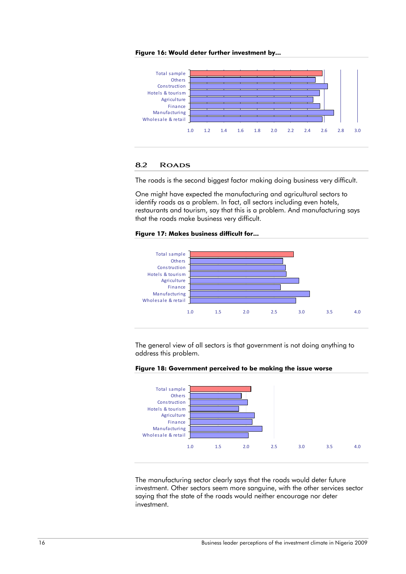



# **8.2 Roads**

The roads is the second biggest factor making doing business very difficult.

One might have expected the manufacturing and agricultural sectors to identify roads as a problem. In fact, all sectors including even hotels, restaurants and tourism, say that this is a problem. And manufacturing says that the roads make business very difficult.

#### **Figure 17: Makes business difficult for...**



The general view of all sectors is that government is not doing anything to address this problem.



#### **Figure 18: Government perceived to be making the issue worse**

The manufacturing sector clearly says that the roads would deter future investment. Other sectors seem more sanguine, with the other services sector saying that the state of the roads would neither encourage nor deter investment.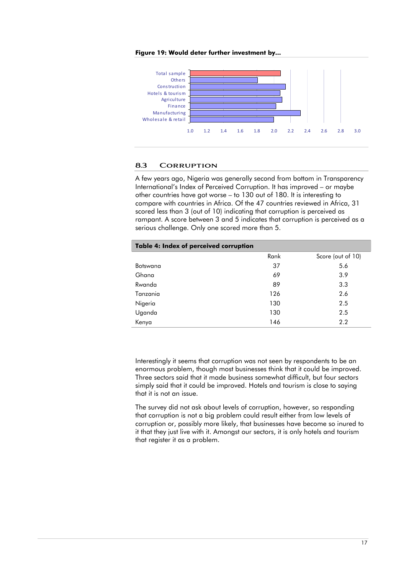

#### **Figure 19: Would deter further investment by...**

# **8.3 Corruption**

A few years ago, Nigeria was generally second from bottom in Transparency International's Index of Perceived Corruption. It has improved – or maybe other countries have got worse – to 130 out of 180. It is interesting to compare with countries in Africa. Of the 47 countries reviewed in Africa, 31 scored less than 3 (out of 10) indicating that corruption is perceived as rampant. A score between 3 and 5 indicates that corruption is perceived as a serious challenge. Only one scored more than 5.

| Table 4: Index of perceived corruption |      |                   |  |  |
|----------------------------------------|------|-------------------|--|--|
|                                        | Rank | Score (out of 10) |  |  |
| Botswana                               | 37   | 5.6               |  |  |
| Ghana                                  | 69   | 3.9               |  |  |
| Rwanda                                 | 89   | 3.3               |  |  |
| Tanzania                               | 126  | 2.6               |  |  |
| Nigeria                                | 130  | 2.5               |  |  |
| Uganda                                 | 130  | 2.5               |  |  |
| Kenya                                  | 146  | 2.2               |  |  |

Interestingly it seems that corruption was not seen by respondents to be an enormous problem, though most businesses think that it could be improved. Three sectors said that it made business somewhat difficult, but four sectors simply said that it could be improved. Hotels and tourism is close to saying that it is not an issue.

The survey did not ask about levels of corruption, however, so responding that corruption is not a big problem could result either from low levels of corruption or, possibly more likely, that businesses have become so inured to it that they just live with it. Amongst our sectors, it is only hotels and tourism that register it as a problem.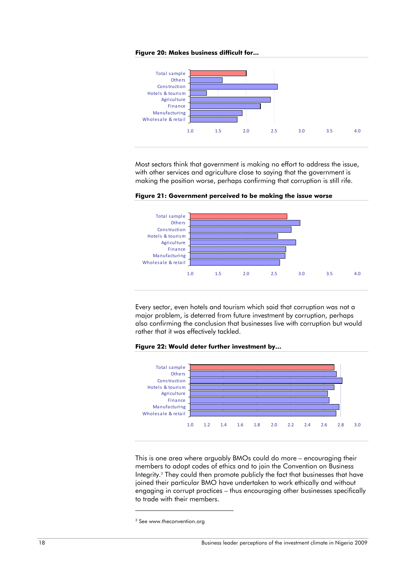



Most sectors think that government is making no effort to address the issue, with other services and agriculture close to saying that the government is making the position worse, perhaps confirming that corruption is still rife.



**Figure 21: Government perceived to be making the issue worse** 

Every sector, even hotels and tourism which said that corruption was not a major problem, is deterred from future investment by corruption, perhaps also confirming the conclusion that businesses live with corruption but would rather that it was effectively tackled.





This is one area where arguably BMOs could do more – encouraging their members to adopt codes of ethics and to join the Convention on Business Integrity.3 They could then promote publicly the fact that businesses that have joined their particular BMO have undertaken to work ethically and without engaging in corrupt practices – thus encouraging other businesses specifically to trade with their members.

-

<sup>&</sup>lt;sup>3</sup> See www.theconvention.org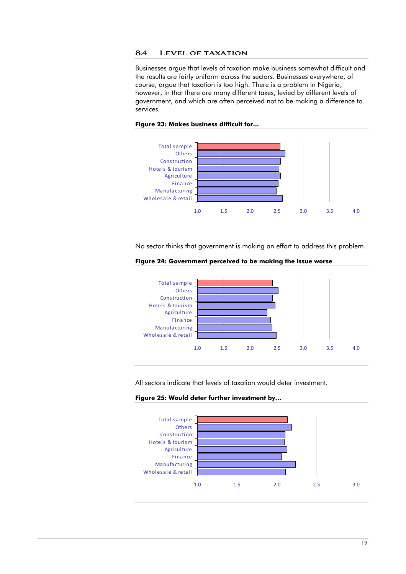#### **8.4 Level of taxation**

Businesses argue that levels of taxation make business somewhat difficult and the results are fairly uniform across the sectors. Businesses everywhere, of course, argue that taxation is too high. There is a problem in Nigeria, however, in that there are many different taxes, levied by different levels of government, and which are often perceived not to be making a difference to services.



#### **Figure 23: Makes business difficult for...**

No sector thinks that government is making an effort to address this problem.





All sectors indicate that levels of taxation would deter investment.



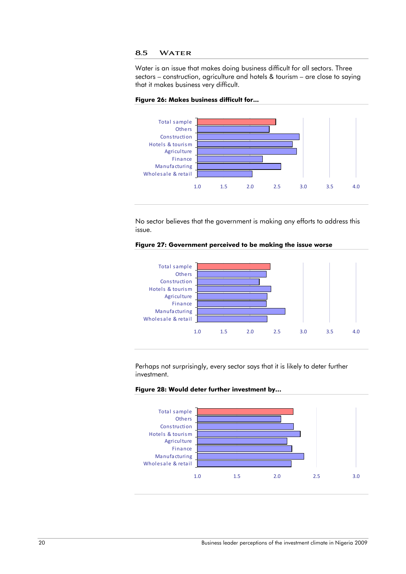# **8.5 Water**

Water is an issue that makes doing business difficult for all sectors. Three sectors – construction, agriculture and hotels & tourism – are close to saying that it makes business very difficult.





No sector believes that the government is making any efforts to address this issue.





Perhaps not surprisingly, every sector says that it is likely to deter further investment.



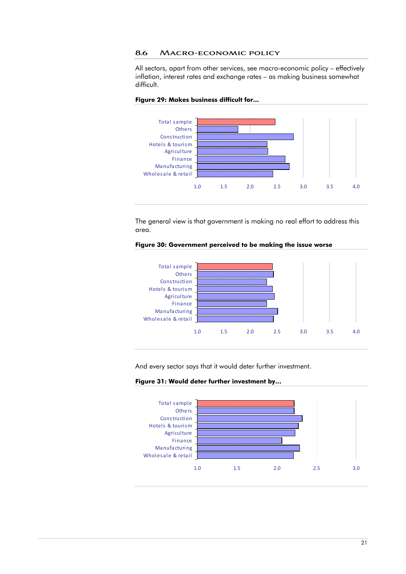**8.6 Macro-economic policy** 

All sectors, apart from other services, see macro-economic policy – effectively inflation, interest rates and exchange rates – as making business somewhat difficult.





The general view is that government is making no real effort to address this area.





And every sector says that it would deter further investment.

**Figure 31: Would deter further investment by…** 

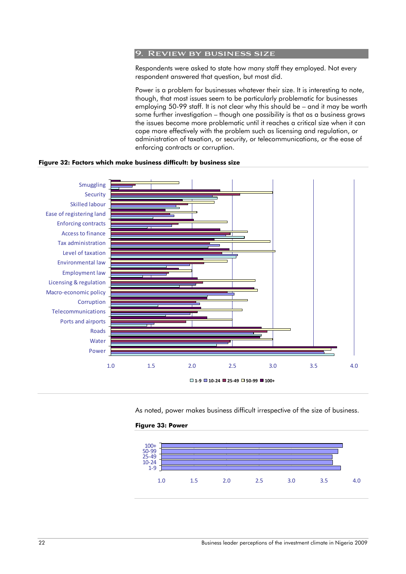# **9. Review by business size**

Respondents were asked to state how many staff they employed. Not every respondent answered that question, but most did.

Power is a problem for businesses whatever their size. It is interesting to note, though, that most issues seem to be particularly problematic for businesses employing 50-99 staff. It is not clear why this should be – and it may be worth some further investigation – though one possibility is that as a business grows the issues become more problematic until it reaches a critical size when it can cope more effectively with the problem such as licensing and regulation, or administration of taxation, or security, or telecommunications, or the ease of enforcing contracts or corruption.

#### **Figure 32: Factors which make business difficult: by business size**



As noted, power makes business difficult irrespective of the size of business.



#### **Figure 33: Power**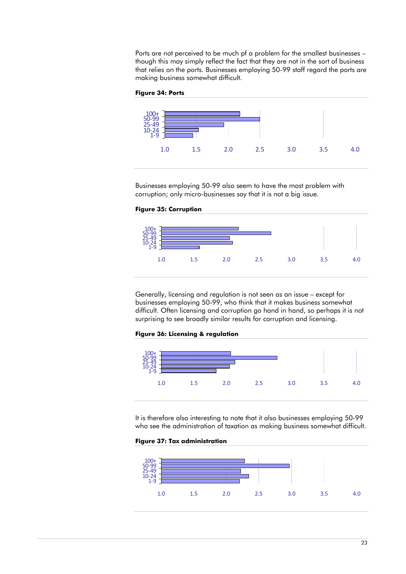Ports are not perceived to be much pf a problem for the smallest businesses – though this may simply reflect the fact that they are not in the sort of business that relies on the ports. Businesses employing 50-99 staff regard the ports are making business somewhat difficult.

#### **Figure 34: Ports**



Businesses employing 50-99 also seem to have the most problem with corruption; only micro-businesses say that it is not a big issue.

#### **Figure 35: Corruption**



Generally, licensing and regulation is not seen as an issue – except for businesses employing 50-99, who think that it makes business somewhat difficult. Often licensing and corruption go hand in hand, so perhaps it is not surprising to see broadly similar results for corruption and licensing.

#### **Figure 36: Licensing & regulation**



It is therefore also interesting to note that it also businesses employing 50-99 who see the administration of taxation as making business somewhat difficult.

#### **Figure 37: Tax administration**

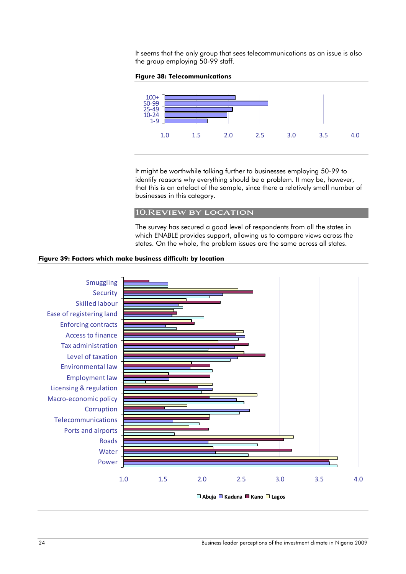It seems that the only group that sees telecommunications as an issue is also the group employing 50-99 staff.

#### **Figure 38: Telecommunications**



It might be worthwhile talking further to businesses employing 50-99 to identify reasons why everything should be a problem. It may be, however, that this is an artefact of the sample, since there a relatively small number of businesses in this category.

# **10.Review by location**

The survey has secured a good level of respondents from all the states in which ENABLE provides support, allowing us to compare views across the states. On the whole, the problem issues are the same across all states.

#### **Figure 39: Factors which make business difficult: by location**

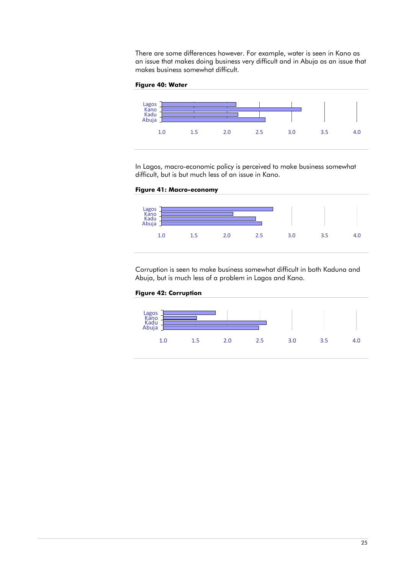There are some differences however. For example, water is seen in Kano as an issue that makes doing business very difficult and in Abuja as an issue that makes business somewhat difficult.

#### **Figure 40: Water**



In Lagos, macro-economic policy is perceived to make business somewhat difficult, but is but much less of an issue in Kano.

# **Figure 41: Macro-economy**



Corruption is seen to make business somewhat difficult in both Kaduna and Abuja, but is much less of a problem in Lagos and Kano.

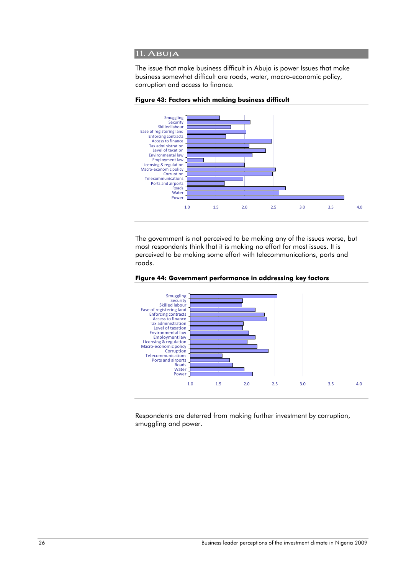## **11. Abuja**

The issue that make business difficult in Abuja is power Issues that make business somewhat difficult are roads, water, macro-economic policy, corruption and access to finance.



**Figure 43: Factors which making business difficult** 

The government is not perceived to be making any of the issues worse, but most respondents think that it is making no effort for most issues. It is perceived to be making some effort with telecommunications, ports and roads.





Respondents are deterred from making further investment by corruption, smuggling and power.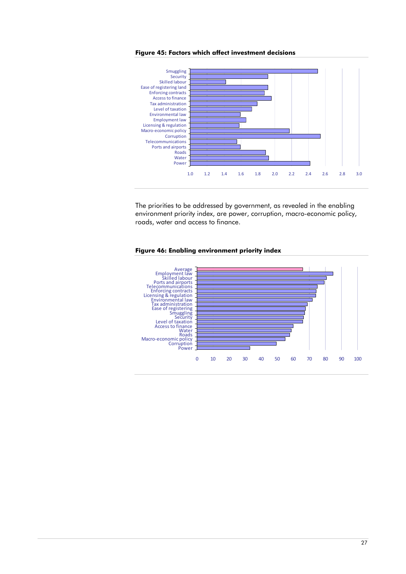



The priorities to be addressed by government, as revealed in the enabling environment priority index, are power, corruption, macro-economic policy, roads, water and access to finance.



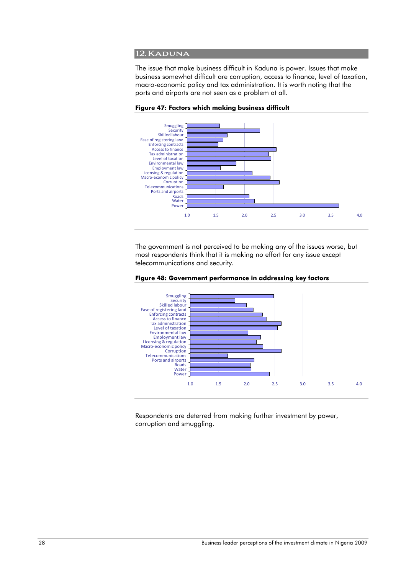#### **12.Kaduna**

The issue that make business difficult in Kaduna is power. Issues that make business somewhat difficult are corruption, access to finance, level of taxation, macro-economic policy and tax administration. It is worth noting that the ports and airports are not seen as a problem at all.



**Figure 47: Factors which making business difficult** 

The government is not perceived to be making any of the issues worse, but most respondents think that it is making no effort for any issue except telecommunications and security.





Respondents are deterred from making further investment by power, corruption and smuggling.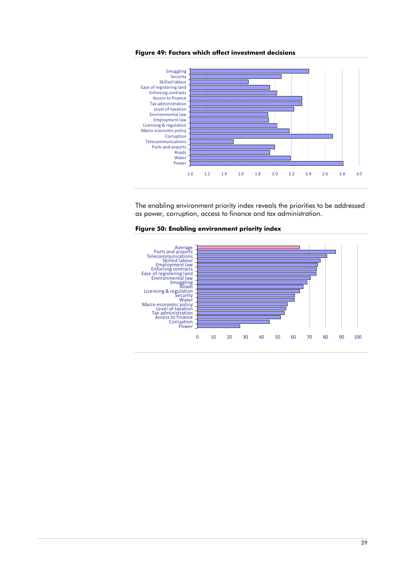



The enabling environment priority index reveals the priorities to be addressed as power, corruption, access to finance and tax administration.



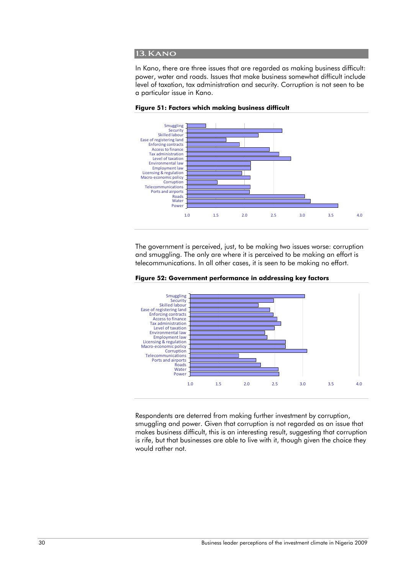#### **13. Kano**

In Kano, there are three issues that are regarded as making business difficult: power, water and roads. Issues that make business somewhat difficult include level of taxation, tax administration and security. Corruption is not seen to be a particular issue in Kano.



**Figure 51: Factors which making business difficult** 

The government is perceived, just, to be making two issues worse: corruption and smuggling. The only are where it is perceived to be making an effort is telecommunications. In all other cases, it is seen to be making no effort.



**Figure 52: Government performance in addressing key factors** 

Respondents are deterred from making further investment by corruption, smuggling and power. Given that corruption is not regarded as an issue that makes business difficult, this is an interesting result, suggesting that corruption is rife, but that businesses are able to live with it, though given the choice they would rather not.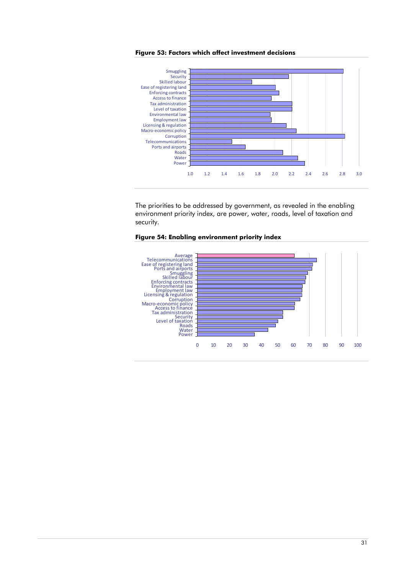



The priorities to be addressed by government, as revealed in the enabling environment priority index, are power, water, roads, level of taxation and security.



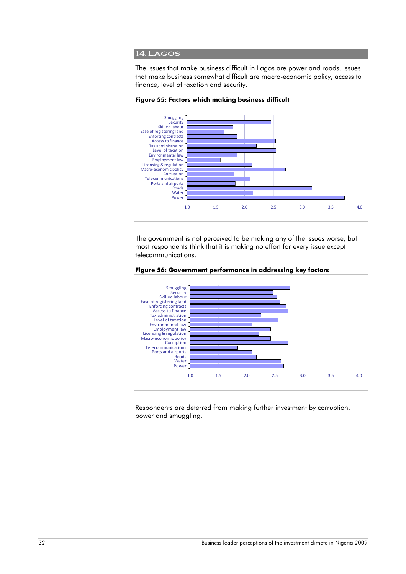#### **14.Lagos**

The issues that make business difficult in Lagos are power and roads. Issues that make business somewhat difficult are macro-economic policy, access to finance, level of taxation and security.



**Figure 55: Factors which making business difficult** 

The government is not perceived to be making any of the issues worse, but most respondents think that it is making no effort for every issue except telecommunications.





Respondents are deterred from making further investment by corruption, power and smuggling.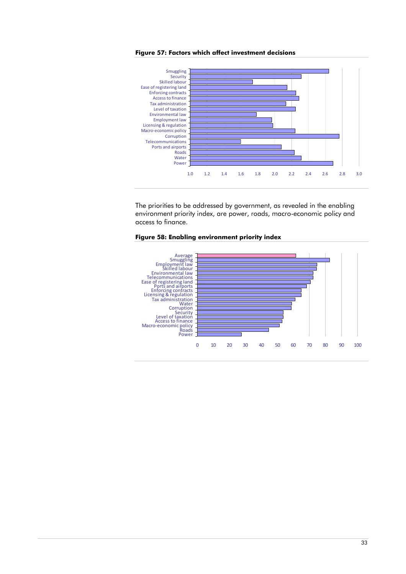

**Figure 57: Factors which affect investment decisions** 

The priorities to be addressed by government, as revealed in the enabling environment priority index, are power, roads, macro-economic policy and access to finance.